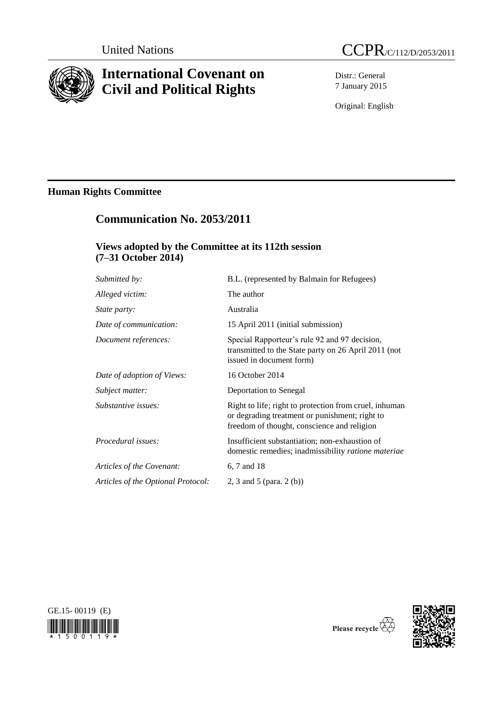

# **International Covenant on Civil and Political Rights**

Distr.: General 7 January 2015

Original: English

# **Human Rights Committee**

# **Communication No. 2053/2011**

## **Views adopted by the Committee at its 112th session (7–31 October 2014)**

| Submitted by:                      | B.L. (represented by Balmain for Refugees)                                                                                                              |
|------------------------------------|---------------------------------------------------------------------------------------------------------------------------------------------------------|
| Alleged victim:                    | The author                                                                                                                                              |
| <i>State party:</i>                | Australia                                                                                                                                               |
| Date of communication:             | 15 April 2011 (initial submission)                                                                                                                      |
| Document references:               | Special Rapporteur's rule 92 and 97 decision,<br>transmitted to the State party on 26 April 2011 (not<br>issued in document form)                       |
| Date of adoption of Views:         | 16 October 2014                                                                                                                                         |
| Subject matter:                    | Deportation to Senegal                                                                                                                                  |
| Substantive issues:                | Right to life; right to protection from cruel, inhuman<br>or degrading treatment or punishment; right to<br>freedom of thought, conscience and religion |
| Procedural issues:                 | Insufficient substantiation; non-exhaustion of<br>domestic remedies; inadmissibility ratione materiae                                                   |
| Articles of the Covenant:          | 6, 7 and 18                                                                                                                                             |
| Articles of the Optional Protocol: | 2, 3 and 5 (para. 2 (b))                                                                                                                                |





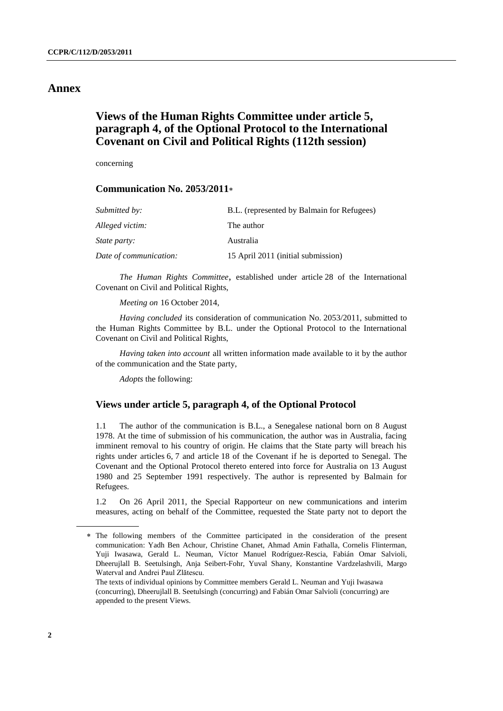### **Annex**

## **Views of the Human Rights Committee under article 5, paragraph 4, of the Optional Protocol to the International Covenant on Civil and Political Rights (112th session)**

concerning

### **Communication No. 2053/2011**

| Submitted by:          | B.L. (represented by Balmain for Refugees) |
|------------------------|--------------------------------------------|
| Alleged victim:        | The author                                 |
| <i>State party:</i>    | Australia                                  |
| Date of communication: | 15 April 2011 (initial submission)         |

*The Human Rights Committee*, established under article 28 of the International Covenant on Civil and Political Rights,

*Meeting on* 16 October 2014,

*Having concluded* its consideration of communication No. 2053/2011, submitted to the Human Rights Committee by B.L. under the Optional Protocol to the International Covenant on Civil and Political Rights,

*Having taken into account* all written information made available to it by the author of the communication and the State party,

*Adopts* the following:

### **Views under article 5, paragraph 4, of the Optional Protocol**

1.1 The author of the communication is B.L., a Senegalese national born on 8 August 1978. At the time of submission of his communication, the author was in Australia, facing imminent removal to his country of origin. He claims that the State party will breach his rights under articles 6, 7 and article 18 of the Covenant if he is deported to Senegal. The Covenant and the Optional Protocol thereto entered into force for Australia on 13 August 1980 and 25 September 1991 respectively. The author is represented by Balmain for Refugees.

1.2 On 26 April 2011, the Special Rapporteur on new communications and interim measures, acting on behalf of the Committee, requested the State party not to deport the

The following members of the Committee participated in the consideration of the present communication: Yadh Ben Achour, Christine Chanet, Ahmad Amin Fathalla, Cornelis Flinterman, Yuji Iwasawa, Gerald L. Neuman, Víctor Manuel Rodríguez-Rescia, Fabián Omar Salvioli, Dheerujlall B. Seetulsingh, Anja Seibert-Fohr, Yuval Shany, Konstantine Vardzelashvili, Margo Waterval and Andrei Paul Zlătescu.

The texts of individual opinions by Committee members Gerald L. Neuman and Yuji Iwasawa (concurring), Dheerujlall B. Seetulsingh (concurring) and Fabián Omar Salvioli (concurring) are appended to the present Views.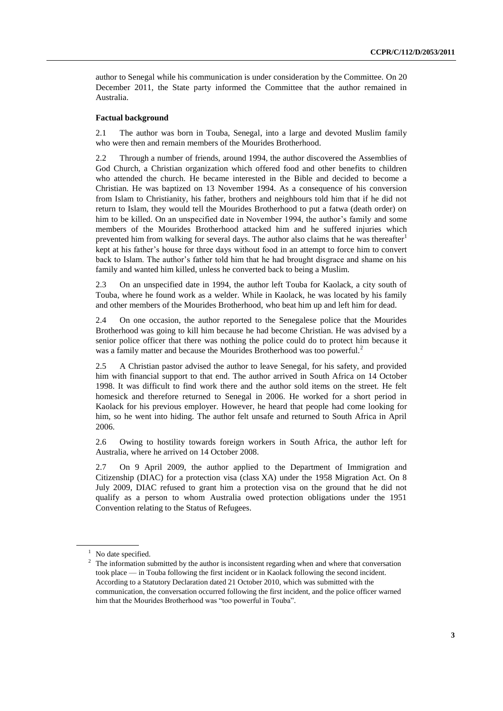author to Senegal while his communication is under consideration by the Committee. On 20 December 2011, the State party informed the Committee that the author remained in Australia.

#### **Factual background**

2.1 The author was born in Touba, Senegal, into a large and devoted Muslim family who were then and remain members of the Mourides Brotherhood.

2.2 Through a number of friends, around 1994, the author discovered the Assemblies of God Church, a Christian organization which offered food and other benefits to children who attended the church. He became interested in the Bible and decided to become a Christian. He was baptized on 13 November 1994. As a consequence of his conversion from Islam to Christianity, his father, brothers and neighbours told him that if he did not return to Islam, they would tell the Mourides Brotherhood to put a fatwa (death order) on him to be killed. On an unspecified date in November 1994, the author's family and some members of the Mourides Brotherhood attacked him and he suffered injuries which prevented him from walking for several days. The author also claims that he was thereafter kept at his father's house for three days without food in an attempt to force him to convert back to Islam. The author's father told him that he had brought disgrace and shame on his family and wanted him killed, unless he converted back to being a Muslim.

2.3 On an unspecified date in 1994, the author left Touba for Kaolack, a city south of Touba, where he found work as a welder. While in Kaolack, he was located by his family and other members of the Mourides Brotherhood, who beat him up and left him for dead.

2.4 On one occasion, the author reported to the Senegalese police that the Mourides Brotherhood was going to kill him because he had become Christian. He was advised by a senior police officer that there was nothing the police could do to protect him because it was a family matter and because the Mourides Brotherhood was too powerful.<sup>2</sup>

2.5 A Christian pastor advised the author to leave Senegal, for his safety, and provided him with financial support to that end. The author arrived in South Africa on 14 October 1998. It was difficult to find work there and the author sold items on the street. He felt homesick and therefore returned to Senegal in 2006. He worked for a short period in Kaolack for his previous employer. However, he heard that people had come looking for him, so he went into hiding. The author felt unsafe and returned to South Africa in April 2006.

2.6 Owing to hostility towards foreign workers in South Africa, the author left for Australia, where he arrived on 14 October 2008.

2.7 On 9 April 2009, the author applied to the Department of Immigration and Citizenship (DIAC) for a protection visa (class XA) under the 1958 Migration Act. On 8 July 2009, DIAC refused to grant him a protection visa on the ground that he did not qualify as a person to whom Australia owed protection obligations under the 1951 Convention relating to the Status of Refugees.

<sup>&</sup>lt;sup>1</sup> No date specified.

<sup>&</sup>lt;sup>2</sup> The information submitted by the author is inconsistent regarding when and where that conversation took place — in Touba following the first incident or in Kaolack following the second incident. According to a Statutory Declaration dated 21 October 2010, which was submitted with the communication, the conversation occurred following the first incident, and the police officer warned him that the Mourides Brotherhood was "too powerful in Touba".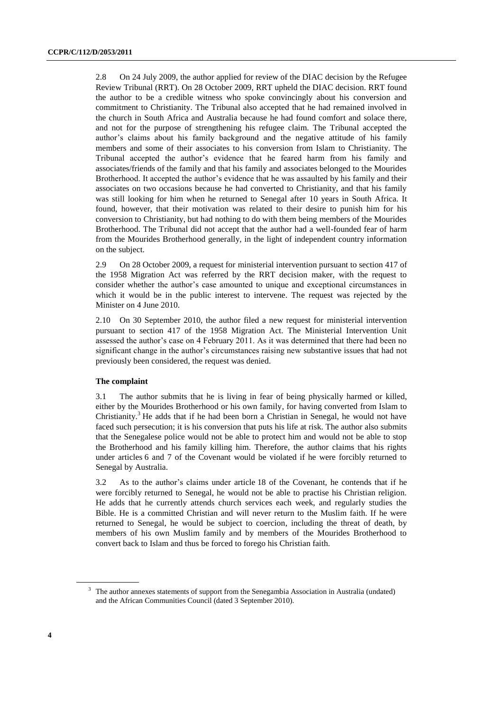2.8 On 24 July 2009, the author applied for review of the DIAC decision by the Refugee Review Tribunal (RRT). On 28 October 2009, RRT upheld the DIAC decision. RRT found the author to be a credible witness who spoke convincingly about his conversion and commitment to Christianity. The Tribunal also accepted that he had remained involved in the church in South Africa and Australia because he had found comfort and solace there, and not for the purpose of strengthening his refugee claim. The Tribunal accepted the author's claims about his family background and the negative attitude of his family members and some of their associates to his conversion from Islam to Christianity. The Tribunal accepted the author's evidence that he feared harm from his family and associates/friends of the family and that his family and associates belonged to the Mourides Brotherhood. It accepted the author's evidence that he was assaulted by his family and their associates on two occasions because he had converted to Christianity, and that his family was still looking for him when he returned to Senegal after 10 years in South Africa. It found, however, that their motivation was related to their desire to punish him for his conversion to Christianity, but had nothing to do with them being members of the Mourides Brotherhood. The Tribunal did not accept that the author had a well-founded fear of harm from the Mourides Brotherhood generally, in the light of independent country information on the subject.

2.9 On 28 October 2009, a request for ministerial intervention pursuant to section 417 of the 1958 Migration Act was referred by the RRT decision maker, with the request to consider whether the author's case amounted to unique and exceptional circumstances in which it would be in the public interest to intervene. The request was rejected by the Minister on 4 June 2010.

2.10 On 30 September 2010, the author filed a new request for ministerial intervention pursuant to section 417 of the 1958 Migration Act. The Ministerial Intervention Unit assessed the author's case on 4 February 2011. As it was determined that there had been no significant change in the author's circumstances raising new substantive issues that had not previously been considered, the request was denied.

#### **The complaint**

3.1 The author submits that he is living in fear of being physically harmed or killed, either by the Mourides Brotherhood or his own family, for having converted from Islam to Christianity.<sup>3</sup> He adds that if he had been born a Christian in Senegal, he would not have faced such persecution; it is his conversion that puts his life at risk. The author also submits that the Senegalese police would not be able to protect him and would not be able to stop the Brotherhood and his family killing him. Therefore, the author claims that his rights under articles 6 and 7 of the Covenant would be violated if he were forcibly returned to Senegal by Australia.

3.2 As to the author's claims under article 18 of the Covenant, he contends that if he were forcibly returned to Senegal, he would not be able to practise his Christian religion. He adds that he currently attends church services each week, and regularly studies the Bible. He is a committed Christian and will never return to the Muslim faith. If he were returned to Senegal, he would be subject to coercion, including the threat of death, by members of his own Muslim family and by members of the Mourides Brotherhood to convert back to Islam and thus be forced to forego his Christian faith.

<sup>&</sup>lt;sup>3</sup> The author annexes statements of support from the Senegambia Association in Australia (undated) and the African Communities Council (dated 3 September 2010).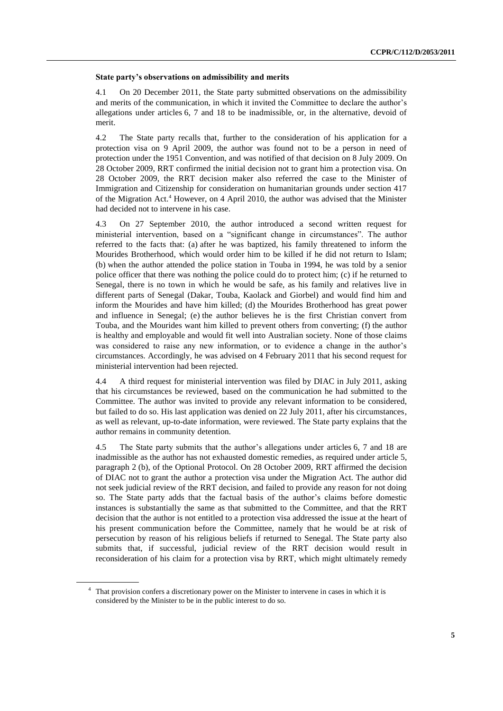#### **State party's observations on admissibility and merits**

4.1 On 20 December 2011, the State party submitted observations on the admissibility and merits of the communication, in which it invited the Committee to declare the author's allegations under articles 6, 7 and 18 to be inadmissible, or, in the alternative, devoid of merit.

4.2 The State party recalls that, further to the consideration of his application for a protection visa on 9 April 2009, the author was found not to be a person in need of protection under the 1951 Convention, and was notified of that decision on 8 July 2009. On 28 October 2009, RRT confirmed the initial decision not to grant him a protection visa. On 28 October 2009, the RRT decision maker also referred the case to the Minister of Immigration and Citizenship for consideration on humanitarian grounds under section 417 of the Migration Act.<sup>4</sup> However, on 4 April 2010, the author was advised that the Minister had decided not to intervene in his case.

4.3 On 27 September 2010, the author introduced a second written request for ministerial intervention, based on a "significant change in circumstances". The author referred to the facts that: (a) after he was baptized, his family threatened to inform the Mourides Brotherhood, which would order him to be killed if he did not return to Islam; (b) when the author attended the police station in Touba in 1994, he was told by a senior police officer that there was nothing the police could do to protect him; (c) if he returned to Senegal, there is no town in which he would be safe, as his family and relatives live in different parts of Senegal (Dakar, Touba, Kaolack and Giorbel) and would find him and inform the Mourides and have him killed; (d) the Mourides Brotherhood has great power and influence in Senegal; (e) the author believes he is the first Christian convert from Touba, and the Mourides want him killed to prevent others from converting; (f) the author is healthy and employable and would fit well into Australian society. None of those claims was considered to raise any new information, or to evidence a change in the author's circumstances. Accordingly, he was advised on 4 February 2011 that his second request for ministerial intervention had been rejected.

4.4 A third request for ministerial intervention was filed by DIAC in July 2011, asking that his circumstances be reviewed, based on the communication he had submitted to the Committee. The author was invited to provide any relevant information to be considered, but failed to do so. His last application was denied on 22 July 2011, after his circumstances, as well as relevant, up-to-date information, were reviewed. The State party explains that the author remains in community detention.

4.5 The State party submits that the author's allegations under articles 6, 7 and 18 are inadmissible as the author has not exhausted domestic remedies, as required under article 5, paragraph 2 (b), of the Optional Protocol. On 28 October 2009, RRT affirmed the decision of DIAC not to grant the author a protection visa under the Migration Act. The author did not seek judicial review of the RRT decision, and failed to provide any reason for not doing so. The State party adds that the factual basis of the author's claims before domestic instances is substantially the same as that submitted to the Committee, and that the RRT decision that the author is not entitled to a protection visa addressed the issue at the heart of his present communication before the Committee, namely that he would be at risk of persecution by reason of his religious beliefs if returned to Senegal. The State party also submits that, if successful, judicial review of the RRT decision would result in reconsideration of his claim for a protection visa by RRT, which might ultimately remedy

<sup>&</sup>lt;sup>4</sup> That provision confers a discretionary power on the Minister to intervene in cases in which it is considered by the Minister to be in the public interest to do so.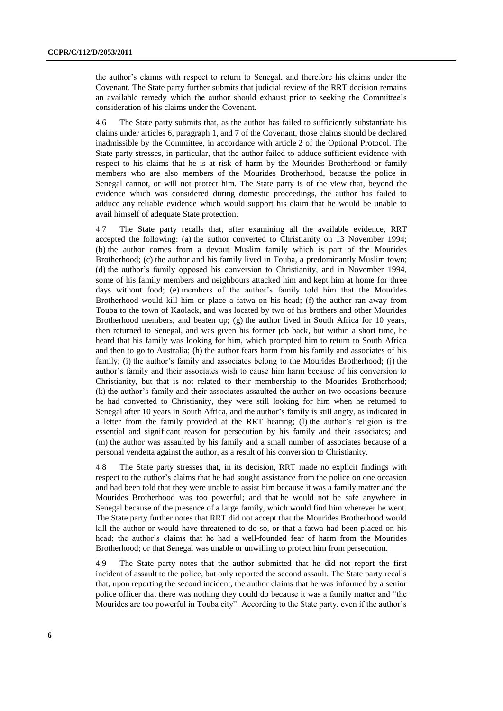the author's claims with respect to return to Senegal, and therefore his claims under the Covenant. The State party further submits that judicial review of the RRT decision remains an available remedy which the author should exhaust prior to seeking the Committee's consideration of his claims under the Covenant.

4.6 The State party submits that, as the author has failed to sufficiently substantiate his claims under articles 6, paragraph 1, and 7 of the Covenant, those claims should be declared inadmissible by the Committee, in accordance with article 2 of the Optional Protocol. The State party stresses, in particular, that the author failed to adduce sufficient evidence with respect to his claims that he is at risk of harm by the Mourides Brotherhood or family members who are also members of the Mourides Brotherhood, because the police in Senegal cannot, or will not protect him. The State party is of the view that, beyond the evidence which was considered during domestic proceedings, the author has failed to adduce any reliable evidence which would support his claim that he would be unable to avail himself of adequate State protection.

4.7 The State party recalls that, after examining all the available evidence, RRT accepted the following: (a) the author converted to Christianity on 13 November 1994; (b) the author comes from a devout Muslim family which is part of the Mourides Brotherhood; (c) the author and his family lived in Touba, a predominantly Muslim town; (d) the author's family opposed his conversion to Christianity, and in November 1994, some of his family members and neighbours attacked him and kept him at home for three days without food; (e) members of the author's family told him that the Mourides Brotherhood would kill him or place a fatwa on his head; (f) the author ran away from Touba to the town of Kaolack, and was located by two of his brothers and other Mourides Brotherhood members, and beaten up;  $(g)$  the author lived in South Africa for 10 years, then returned to Senegal, and was given his former job back, but within a short time, he heard that his family was looking for him, which prompted him to return to South Africa and then to go to Australia; (h) the author fears harm from his family and associates of his family; (i) the author's family and associates belong to the Mourides Brotherhood; (j) the author's family and their associates wish to cause him harm because of his conversion to Christianity, but that is not related to their membership to the Mourides Brotherhood; (k) the author's family and their associates assaulted the author on two occasions because he had converted to Christianity, they were still looking for him when he returned to Senegal after 10 years in South Africa, and the author's family is still angry, as indicated in a letter from the family provided at the RRT hearing; (l) the author's religion is the essential and significant reason for persecution by his family and their associates; and (m) the author was assaulted by his family and a small number of associates because of a personal vendetta against the author, as a result of his conversion to Christianity.

4.8 The State party stresses that, in its decision, RRT made no explicit findings with respect to the author's claims that he had sought assistance from the police on one occasion and had been told that they were unable to assist him because it was a family matter and the Mourides Brotherhood was too powerful; and that he would not be safe anywhere in Senegal because of the presence of a large family, which would find him wherever he went. The State party further notes that RRT did not accept that the Mourides Brotherhood would kill the author or would have threatened to do so, or that a fatwa had been placed on his head; the author's claims that he had a well-founded fear of harm from the Mourides Brotherhood; or that Senegal was unable or unwilling to protect him from persecution.

4.9 The State party notes that the author submitted that he did not report the first incident of assault to the police, but only reported the second assault. The State party recalls that, upon reporting the second incident, the author claims that he was informed by a senior police officer that there was nothing they could do because it was a family matter and "the Mourides are too powerful in Touba city". According to the State party, even if the author's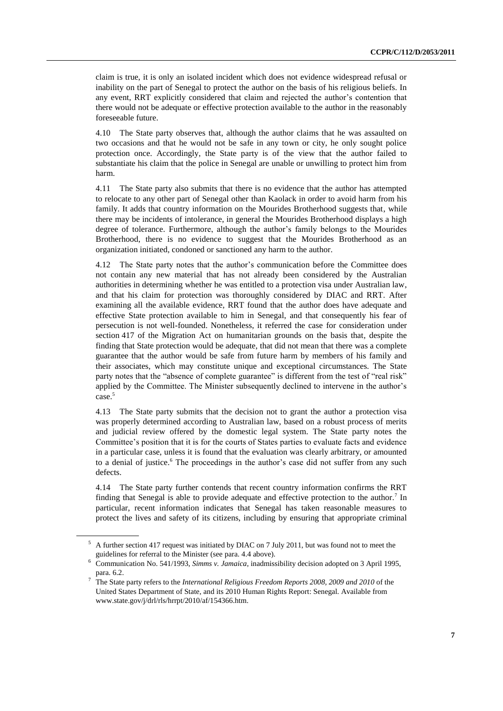claim is true, it is only an isolated incident which does not evidence widespread refusal or inability on the part of Senegal to protect the author on the basis of his religious beliefs. In any event, RRT explicitly considered that claim and rejected the author's contention that there would not be adequate or effective protection available to the author in the reasonably foreseeable future.

4.10 The State party observes that, although the author claims that he was assaulted on two occasions and that he would not be safe in any town or city, he only sought police protection once. Accordingly, the State party is of the view that the author failed to substantiate his claim that the police in Senegal are unable or unwilling to protect him from harm.

4.11 The State party also submits that there is no evidence that the author has attempted to relocate to any other part of Senegal other than Kaolack in order to avoid harm from his family. It adds that country information on the Mourides Brotherhood suggests that, while there may be incidents of intolerance, in general the Mourides Brotherhood displays a high degree of tolerance. Furthermore, although the author's family belongs to the Mourides Brotherhood, there is no evidence to suggest that the Mourides Brotherhood as an organization initiated, condoned or sanctioned any harm to the author.

4.12 The State party notes that the author's communication before the Committee does not contain any new material that has not already been considered by the Australian authorities in determining whether he was entitled to a protection visa under Australian law, and that his claim for protection was thoroughly considered by DIAC and RRT. After examining all the available evidence, RRT found that the author does have adequate and effective State protection available to him in Senegal, and that consequently his fear of persecution is not well-founded. Nonetheless, it referred the case for consideration under section 417 of the Migration Act on humanitarian grounds on the basis that, despite the finding that State protection would be adequate, that did not mean that there was a complete guarantee that the author would be safe from future harm by members of his family and their associates, which may constitute unique and exceptional circumstances. The State party notes that the "absence of complete guarantee" is different from the test of "real risk" applied by the Committee. The Minister subsequently declined to intervene in the author's case.<sup>5</sup>

4.13 The State party submits that the decision not to grant the author a protection visa was properly determined according to Australian law, based on a robust process of merits and judicial review offered by the domestic legal system. The State party notes the Committee's position that it is for the courts of States parties to evaluate facts and evidence in a particular case, unless it is found that the evaluation was clearly arbitrary, or amounted to a denial of justice.<sup>6</sup> The proceedings in the author's case did not suffer from any such defects.

4.14 The State party further contends that recent country information confirms the RRT finding that Senegal is able to provide adequate and effective protection to the author.<sup>7</sup> In particular, recent information indicates that Senegal has taken reasonable measures to protect the lives and safety of its citizens, including by ensuring that appropriate criminal

 $5$  A further section 417 request was initiated by DIAC on 7 July 2011, but was found not to meet the guidelines for referral to the Minister (see para. 4.4 above).

<sup>6</sup> Communication No. 541/1993, *Simms v. Jamaica*, inadmissibility decision adopted on 3 April 1995, para. 6.2.

<sup>7</sup> The State party refers to the *International Religious Freedom Reports 2008, 2009 and 2010* of the United States Department of State, and its 2010 Human Rights Report: Senegal. Available from www.state.gov/j/drl/rls/hrrpt/2010/af/154366.htm.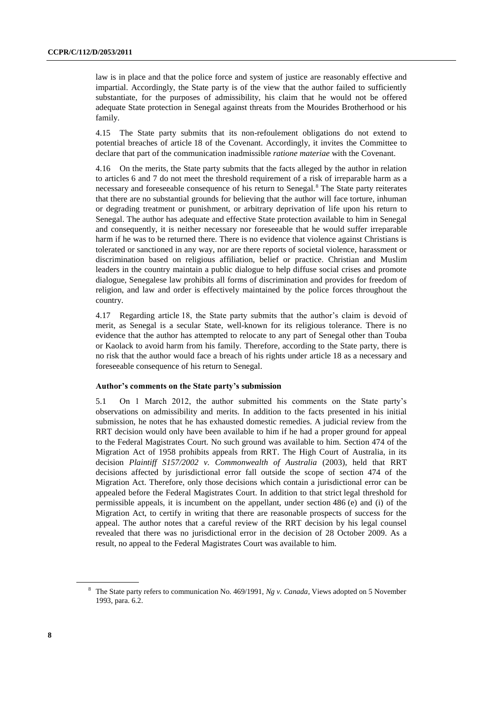law is in place and that the police force and system of justice are reasonably effective and impartial. Accordingly, the State party is of the view that the author failed to sufficiently substantiate, for the purposes of admissibility, his claim that he would not be offered adequate State protection in Senegal against threats from the Mourides Brotherhood or his family.

4.15 The State party submits that its non-refoulement obligations do not extend to potential breaches of article 18 of the Covenant. Accordingly, it invites the Committee to declare that part of the communication inadmissible *ratione materiae* with the Covenant.

4.16 On the merits, the State party submits that the facts alleged by the author in relation to articles 6 and 7 do not meet the threshold requirement of a risk of irreparable harm as a necessary and foreseeable consequence of his return to Senegal.<sup>8</sup> The State party reiterates that there are no substantial grounds for believing that the author will face torture, inhuman or degrading treatment or punishment, or arbitrary deprivation of life upon his return to Senegal. The author has adequate and effective State protection available to him in Senegal and consequently, it is neither necessary nor foreseeable that he would suffer irreparable harm if he was to be returned there. There is no evidence that violence against Christians is tolerated or sanctioned in any way, nor are there reports of societal violence, harassment or discrimination based on religious affiliation, belief or practice. Christian and Muslim leaders in the country maintain a public dialogue to help diffuse social crises and promote dialogue, Senegalese law prohibits all forms of discrimination and provides for freedom of religion, and law and order is effectively maintained by the police forces throughout the country.

4.17 Regarding article 18, the State party submits that the author's claim is devoid of merit, as Senegal is a secular State, well-known for its religious tolerance. There is no evidence that the author has attempted to relocate to any part of Senegal other than Touba or Kaolack to avoid harm from his family. Therefore, according to the State party, there is no risk that the author would face a breach of his rights under article 18 as a necessary and foreseeable consequence of his return to Senegal.

#### **Author's comments on the State party's submission**

5.1 On 1 March 2012, the author submitted his comments on the State party's observations on admissibility and merits. In addition to the facts presented in his initial submission, he notes that he has exhausted domestic remedies. A judicial review from the RRT decision would only have been available to him if he had a proper ground for appeal to the Federal Magistrates Court. No such ground was available to him. Section 474 of the Migration Act of 1958 prohibits appeals from RRT. The High Court of Australia, in its decision *Plaintiff S157/2002 v. Commonwealth of Australia* (2003), held that RRT decisions affected by jurisdictional error fall outside the scope of section 474 of the Migration Act. Therefore, only those decisions which contain a jurisdictional error can be appealed before the Federal Magistrates Court. In addition to that strict legal threshold for permissible appeals, it is incumbent on the appellant, under section 486 (e) and (i) of the Migration Act, to certify in writing that there are reasonable prospects of success for the appeal. The author notes that a careful review of the RRT decision by his legal counsel revealed that there was no jurisdictional error in the decision of 28 October 2009. As a result, no appeal to the Federal Magistrates Court was available to him.

<sup>8</sup> The State party refers to communication No. 469/1991, *Ng v. Canada*, Views adopted on 5 November 1993, para. 6.2.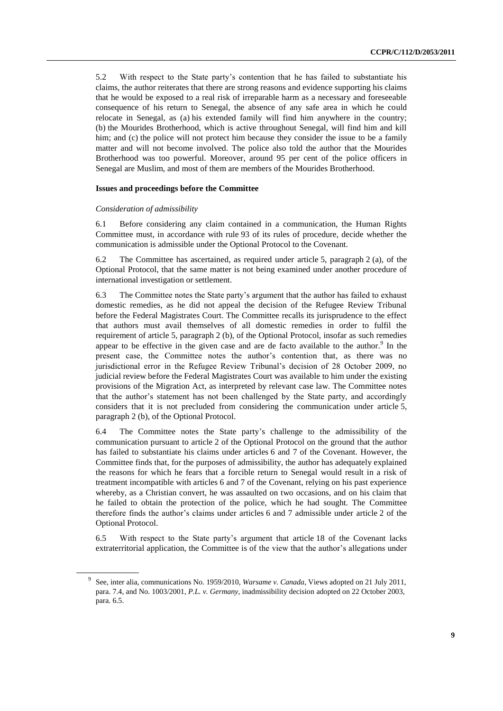5.2 With respect to the State party's contention that he has failed to substantiate his claims, the author reiterates that there are strong reasons and evidence supporting his claims that he would be exposed to a real risk of irreparable harm as a necessary and foreseeable consequence of his return to Senegal, the absence of any safe area in which he could relocate in Senegal, as (a) his extended family will find him anywhere in the country; (b) the Mourides Brotherhood, which is active throughout Senegal, will find him and kill him; and (c) the police will not protect him because they consider the issue to be a family matter and will not become involved. The police also told the author that the Mourides Brotherhood was too powerful. Moreover, around 95 per cent of the police officers in Senegal are Muslim, and most of them are members of the Mourides Brotherhood.

#### **Issues and proceedings before the Committee**

#### *Consideration of admissibility*

6.1 Before considering any claim contained in a communication, the Human Rights Committee must, in accordance with rule 93 of its rules of procedure, decide whether the communication is admissible under the Optional Protocol to the Covenant.

6.2 The Committee has ascertained, as required under article 5, paragraph 2 (a), of the Optional Protocol, that the same matter is not being examined under another procedure of international investigation or settlement.

6.3 The Committee notes the State party's argument that the author has failed to exhaust domestic remedies, as he did not appeal the decision of the Refugee Review Tribunal before the Federal Magistrates Court. The Committee recalls its jurisprudence to the effect that authors must avail themselves of all domestic remedies in order to fulfil the requirement of article 5, paragraph 2 (b), of the Optional Protocol, insofar as such remedies appear to be effective in the given case and are de facto available to the author. $9$  In the present case, the Committee notes the author's contention that, as there was no jurisdictional error in the Refugee Review Tribunal's decision of 28 October 2009, no judicial review before the Federal Magistrates Court was available to him under the existing provisions of the Migration Act, as interpreted by relevant case law. The Committee notes that the author's statement has not been challenged by the State party, and accordingly considers that it is not precluded from considering the communication under article 5, paragraph 2 (b), of the Optional Protocol.

6.4 The Committee notes the State party's challenge to the admissibility of the communication pursuant to article 2 of the Optional Protocol on the ground that the author has failed to substantiate his claims under articles 6 and 7 of the Covenant. However, the Committee finds that, for the purposes of admissibility, the author has adequately explained the reasons for which he fears that a forcible return to Senegal would result in a risk of treatment incompatible with articles 6 and 7 of the Covenant, relying on his past experience whereby, as a Christian convert, he was assaulted on two occasions, and on his claim that he failed to obtain the protection of the police, which he had sought. The Committee therefore finds the author's claims under articles 6 and 7 admissible under article 2 of the Optional Protocol.

6.5 With respect to the State party's argument that article 18 of the Covenant lacks extraterritorial application, the Committee is of the view that the author's allegations under

<sup>9</sup> See, inter alia, communications No. 1959/2010, *Warsame v. Canada*, Views adopted on 21 July 2011, para. 7.4, and No. 1003/2001, *P.L. v. Germany*, inadmissibility decision adopted on 22 October 2003, para. 6.5.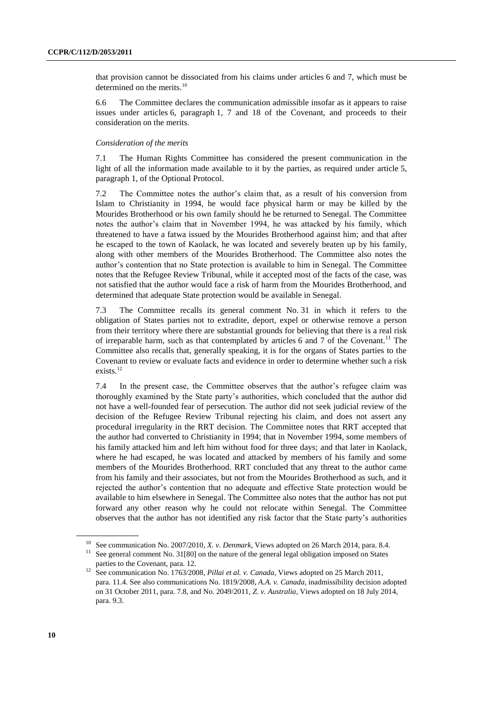that provision cannot be dissociated from his claims under articles 6 and 7, which must be determined on the merits.<sup>10</sup>

6.6 The Committee declares the communication admissible insofar as it appears to raise issues under articles 6, paragraph 1, 7 and 18 of the Covenant, and proceeds to their consideration on the merits.

#### *Consideration of the merits*

7.1 The Human Rights Committee has considered the present communication in the light of all the information made available to it by the parties, as required under article 5, paragraph 1, of the Optional Protocol.

7.2 The Committee notes the author's claim that, as a result of his conversion from Islam to Christianity in 1994, he would face physical harm or may be killed by the Mourides Brotherhood or his own family should he be returned to Senegal. The Committee notes the author's claim that in November 1994, he was attacked by his family, which threatened to have a fatwa issued by the Mourides Brotherhood against him; and that after he escaped to the town of Kaolack, he was located and severely beaten up by his family, along with other members of the Mourides Brotherhood. The Committee also notes the author's contention that no State protection is available to him in Senegal. The Committee notes that the Refugee Review Tribunal, while it accepted most of the facts of the case, was not satisfied that the author would face a risk of harm from the Mourides Brotherhood, and determined that adequate State protection would be available in Senegal.

7.3 The Committee recalls its general comment No. 31 in which it refers to the obligation of States parties not to extradite, deport, expel or otherwise remove a person from their territory where there are substantial grounds for believing that there is a real risk of irreparable harm, such as that contemplated by articles 6 and 7 of the Covenant.<sup>11</sup> The Committee also recalls that, generally speaking, it is for the organs of States parties to the Covenant to review or evaluate facts and evidence in order to determine whether such a risk exists.<sup>12</sup>

7.4 In the present case, the Committee observes that the author's refugee claim was thoroughly examined by the State party's authorities, which concluded that the author did not have a well-founded fear of persecution. The author did not seek judicial review of the decision of the Refugee Review Tribunal rejecting his claim, and does not assert any procedural irregularity in the RRT decision. The Committee notes that RRT accepted that the author had converted to Christianity in 1994; that in November 1994, some members of his family attacked him and left him without food for three days; and that later in Kaolack, where he had escaped, he was located and attacked by members of his family and some members of the Mourides Brotherhood. RRT concluded that any threat to the author came from his family and their associates, but not from the Mourides Brotherhood as such, and it rejected the author's contention that no adequate and effective State protection would be available to him elsewhere in Senegal. The Committee also notes that the author has not put forward any other reason why he could not relocate within Senegal. The Committee observes that the author has not identified any risk factor that the State party's authorities

parties to the Covenant, para. 12.

<sup>10</sup> See communication No. 2007/2010, *X. v. Denmark*, Views adopted on 26 March 2014, para. 8.4. <sup>11</sup> See general comment No. 31[80] on the nature of the general legal obligation imposed on States

<sup>&</sup>lt;sup>12</sup> See communication No. 1763/2008, *Pillai et al. v. Canada*, Views adopted on 25 March 2011, para. 11.4. See also communications No. 1819/2008, *A.A. v. Canada*, inadmissibility decision adopted on 31 October 2011, para. 7.8, and No. 2049/2011, *Z. v. Australia*, Views adopted on 18 July 2014, para. 9.3.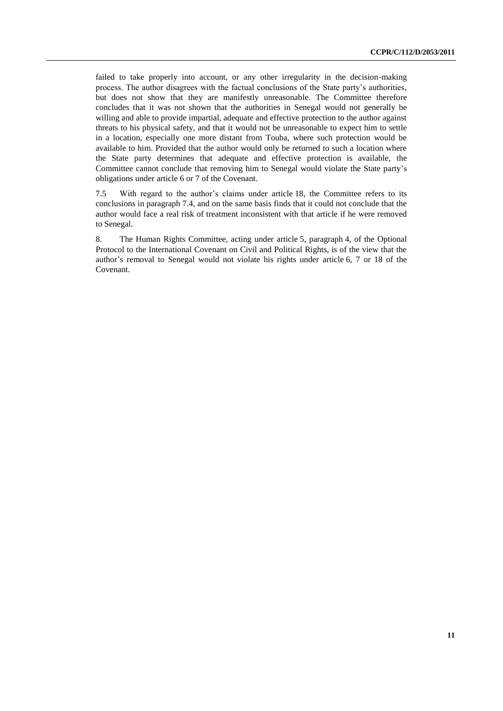failed to take properly into account, or any other irregularity in the decision-making process. The author disagrees with the factual conclusions of the State party's authorities, but does not show that they are manifestly unreasonable. The Committee therefore concludes that it was not shown that the authorities in Senegal would not generally be willing and able to provide impartial, adequate and effective protection to the author against threats to his physical safety, and that it would not be unreasonable to expect him to settle in a location, especially one more distant from Touba, where such protection would be available to him. Provided that the author would only be returned to such a location where the State party determines that adequate and effective protection is available, the Committee cannot conclude that removing him to Senegal would violate the State party's obligations under article 6 or 7 of the Covenant.

7.5 With regard to the author's claims under article 18, the Committee refers to its conclusions in paragraph 7.4, and on the same basis finds that it could not conclude that the author would face a real risk of treatment inconsistent with that article if he were removed to Senegal.

8. The Human Rights Committee, acting under article 5, paragraph 4, of the Optional Protocol to the International Covenant on Civil and Political Rights, is of the view that the author's removal to Senegal would not violate his rights under article 6, 7 or 18 of the Covenant.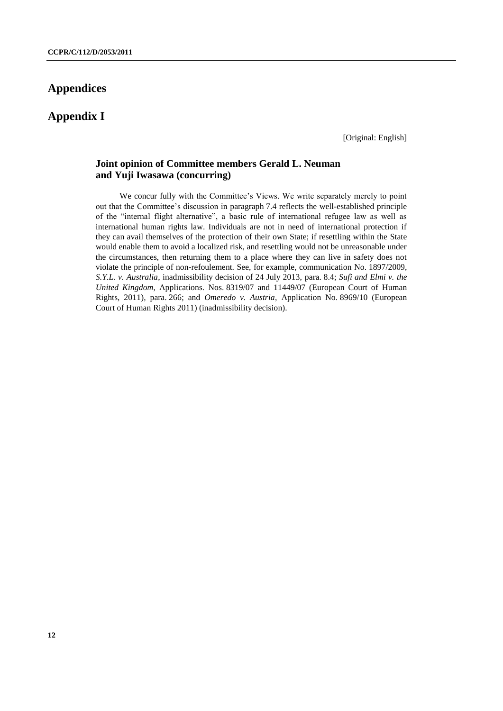# **Appendices**

**Appendix I**

[Original: English]

### **Joint opinion of Committee members Gerald L. Neuman and Yuji Iwasawa (concurring)**

We concur fully with the Committee's Views. We write separately merely to point out that the Committee's discussion in paragraph 7.4 reflects the well-established principle of the "internal flight alternative", a basic rule of international refugee law as well as international human rights law. Individuals are not in need of international protection if they can avail themselves of the protection of their own State; if resettling within the State would enable them to avoid a localized risk, and resettling would not be unreasonable under the circumstances, then returning them to a place where they can live in safety does not violate the principle of non-refoulement. See, for example, communication No. 1897/2009, *S.Y.L. v. Australia*, inadmissibility decision of 24 July 2013, para. 8.4; *Sufi and Elmi v. the United Kingdom*, Applications. Nos. 8319/07 and 11449/07 (European Court of Human Rights, 2011), para. 266; and *Omeredo v. Austria*, Application No. 8969/10 (European Court of Human Rights 2011) (inadmissibility decision).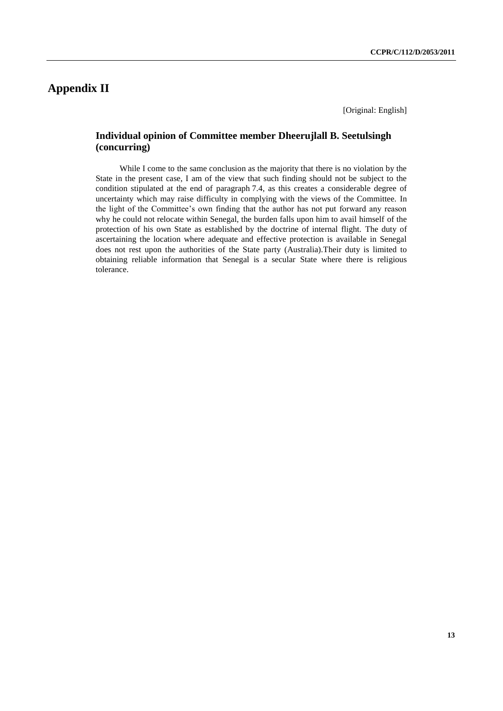# **Appendix II**

[Original: English]

### **Individual opinion of Committee member Dheerujlall B. Seetulsingh (concurring)**

While I come to the same conclusion as the majority that there is no violation by the State in the present case, I am of the view that such finding should not be subject to the condition stipulated at the end of paragraph 7.4, as this creates a considerable degree of uncertainty which may raise difficulty in complying with the views of the Committee. In the light of the Committee's own finding that the author has not put forward any reason why he could not relocate within Senegal, the burden falls upon him to avail himself of the protection of his own State as established by the doctrine of internal flight. The duty of ascertaining the location where adequate and effective protection is available in Senegal does not rest upon the authorities of the State party (Australia).Their duty is limited to obtaining reliable information that Senegal is a secular State where there is religious tolerance.